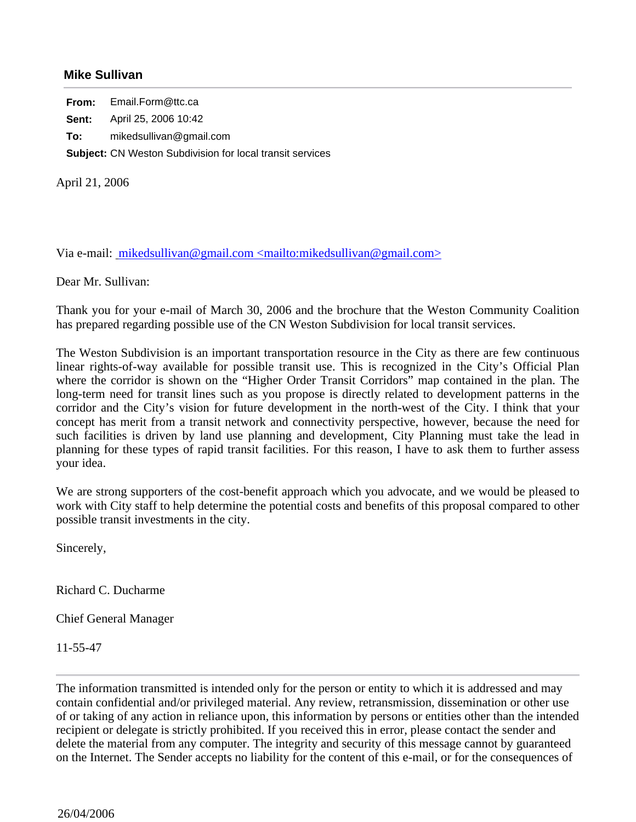## **Mike Sullivan**

**From:** Email.Form@ttc.ca **Sent:** April 25, 2006 10:42 **To:** mikedsullivan@gmail.com **Subject:** CN Weston Subdivision for local transit services

April 21, 2006

Via e-mail: mikedsullivan@gmail.com <mailto:mikedsullivan@gmail.com>

Dear Mr. Sullivan:

Thank you for your e-mail of March 30, 2006 and the brochure that the Weston Community Coalition has prepared regarding possible use of the CN Weston Subdivision for local transit services.

The Weston Subdivision is an important transportation resource in the City as there are few continuous linear rights-of-way available for possible transit use. This is recognized in the City's Official Plan where the corridor is shown on the "Higher Order Transit Corridors" map contained in the plan. The long-term need for transit lines such as you propose is directly related to development patterns in the corridor and the City's vision for future development in the north-west of the City. I think that your concept has merit from a transit network and connectivity perspective, however, because the need for such facilities is driven by land use planning and development, City Planning must take the lead in planning for these types of rapid transit facilities. For this reason, I have to ask them to further assess your idea.

We are strong supporters of the cost-benefit approach which you advocate, and we would be pleased to work with City staff to help determine the potential costs and benefits of this proposal compared to other possible transit investments in the city.

Sincerely,

Richard C. Ducharme

Chief General Manager

11-55-47

The information transmitted is intended only for the person or entity to which it is addressed and may contain confidential and/or privileged material. Any review, retransmission, dissemination or other use of or taking of any action in reliance upon, this information by persons or entities other than the intended recipient or delegate is strictly prohibited. If you received this in error, please contact the sender and delete the material from any computer. The integrity and security of this message cannot by guaranteed on the Internet. The Sender accepts no liability for the content of this e-mail, or for the consequences of